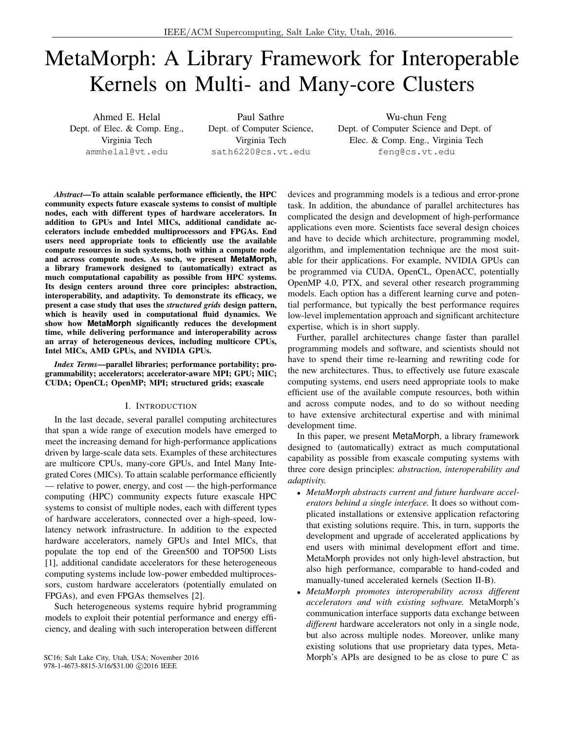# MetaMorph: A Library Framework for Interoperable Kernels on Multi- and Many-core Clusters

Ahmed E. Helal Dept. of Elec. & Comp. Eng., Virginia Tech ammhelal@vt.edu

Paul Sathre Dept. of Computer Science, Virginia Tech sath6220@cs.vt.edu

Wu-chun Feng Dept. of Computer Science and Dept. of Elec. & Comp. Eng., Virginia Tech feng@cs.vt.edu

*Abstract*—To attain scalable performance efficiently, the HPC community expects future exascale systems to consist of multiple nodes, each with different types of hardware accelerators. In addition to GPUs and Intel MICs, additional candidate accelerators include embedded multiprocessors and FPGAs. End users need appropriate tools to efficiently use the available compute resources in such systems, both within a compute node and across compute nodes. As such, we present **MetaMorph**, a library framework designed to (automatically) extract as much computational capability as possible from HPC systems. Its design centers around three core principles: abstraction, interoperability, and adaptivity. To demonstrate its efficacy, we present a case study that uses the *structured grids* design pattern, which is heavily used in computational fluid dynamics. We show how **MetaMorph** significantly reduces the development time, while delivering performance and interoperability across an array of heterogeneous devices, including multicore CPUs, Intel MICs, AMD GPUs, and NVIDIA GPUs.

*Index Terms*—parallel libraries; performance portability; programmability; accelerators; accelerator-aware MPI; GPU; MIC; CUDA; OpenCL; OpenMP; MPI; structured grids; exascale

#### I. INTRODUCTION

In the last decade, several parallel computing architectures that span a wide range of execution models have emerged to meet the increasing demand for high-performance applications driven by large-scale data sets. Examples of these architectures are multicore CPUs, many-core GPUs, and Intel Many Integrated Cores (MICs). To attain scalable performance efficiently — relative to power, energy, and cost — the high-performance computing (HPC) community expects future exascale HPC systems to consist of multiple nodes, each with different types of hardware accelerators, connected over a high-speed, lowlatency network infrastructure. In addition to the expected hardware accelerators, namely GPUs and Intel MICs, that populate the top end of the Green500 and TOP500 Lists [1], additional candidate accelerators for these heterogeneous computing systems include low-power embedded multiprocessors, custom hardware accelerators (potentially emulated on FPGAs), and even FPGAs themselves [2].

Such heterogeneous systems require hybrid programming models to exploit their potential performance and energy efficiency, and dealing with such interoperation between different

978-1-4673-8815-3/16/\$31.00 C2016 IEEE

devices and programming models is a tedious and error-prone task. In addition, the abundance of parallel architectures has complicated the design and development of high-performance applications even more. Scientists face several design choices and have to decide which architecture, programming model, algorithm, and implementation technique are the most suitable for their applications. For example, NVIDIA GPUs can be programmed via CUDA, OpenCL, OpenACC, potentially OpenMP 4.0, PTX, and several other research programming models. Each option has a different learning curve and potential performance, but typically the best performance requires low-level implementation approach and significant architecture expertise, which is in short supply.

Further, parallel architectures change faster than parallel programming models and software, and scientists should not have to spend their time re-learning and rewriting code for the new architectures. Thus, to effectively use future exascale computing systems, end users need appropriate tools to make efficient use of the available compute resources, both within and across compute nodes, and to do so without needing to have extensive architectural expertise and with minimal development time.

In this paper, we present MetaMorph, a library framework designed to (automatically) extract as much computational capability as possible from exascale computing systems with three core design principles: *abstraction, interoperability and adaptivity.*

- *MetaMorph abstracts current and future hardware accelerators behind a single interface.* It does so without complicated installations or extensive application refactoring that existing solutions require. This, in turn, supports the development and upgrade of accelerated applications by end users with minimal development effort and time. MetaMorph provides not only high-level abstraction, but also high performance, comparable to hand-coded and manually-tuned accelerated kernels (Section II-B).
- *MetaMorph promotes interoperability across different accelerators and with existing software.* MetaMorph's communication interface supports data exchange between *different* hardware accelerators not only in a single node, but also across multiple nodes. Moreover, unlike many existing solutions that use proprietary data types, Meta-SC16; Salt Lake City, Utah, USA; November 2016 Morph's APIs are designed to be as close to pure C as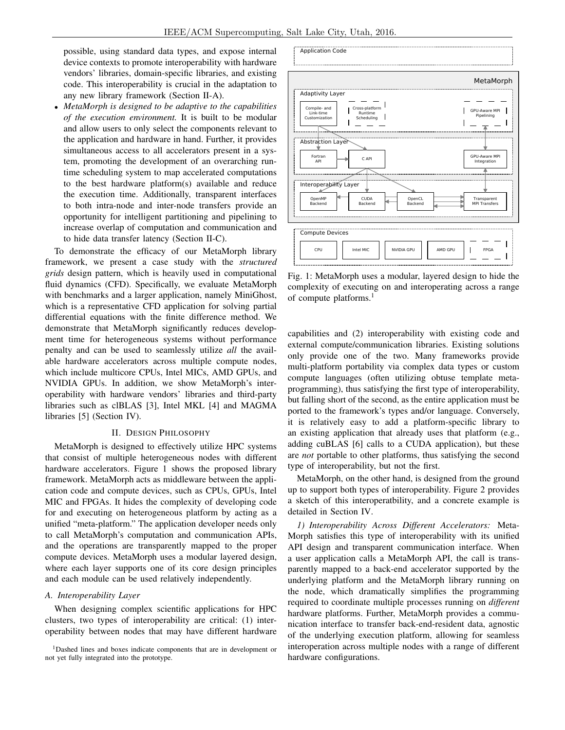possible, using standard data types, and expose internal device contexts to promote interoperability with hardware vendors' libraries, domain-specific libraries, and existing code. This interoperability is crucial in the adaptation to any new library framework (Section II-A).

• *MetaMorph is designed to be adaptive to the capabilities of the execution environment.* It is built to be modular and allow users to only select the components relevant to the application and hardware in hand. Further, it provides simultaneous access to all accelerators present in a system, promoting the development of an overarching runtime scheduling system to map accelerated computations to the best hardware platform(s) available and reduce the execution time. Additionally, transparent interfaces to both intra-node and inter-node transfers provide an opportunity for intelligent partitioning and pipelining to increase overlap of computation and communication and to hide data transfer latency (Section II-C).

To demonstrate the efficacy of our MetaMorph library framework, we present a case study with the *structured grids* design pattern, which is heavily used in computational fluid dynamics (CFD). Specifically, we evaluate MetaMorph with benchmarks and a larger application, namely MiniGhost, which is a representative CFD application for solving partial differential equations with the finite difference method. We demonstrate that MetaMorph significantly reduces development time for heterogeneous systems without performance penalty and can be used to seamlessly utilize *all* the available hardware accelerators across multiple compute nodes, which include multicore CPUs, Intel MICs, AMD GPUs, and NVIDIA GPUs. In addition, we show MetaMorph's interoperability with hardware vendors' libraries and third-party libraries such as clBLAS [3], Intel MKL [4] and MAGMA libraries [5] (Section IV).

#### II. DESIGN PHILOSOPHY

MetaMorph is designed to effectively utilize HPC systems that consist of multiple heterogeneous nodes with different hardware accelerators. Figure 1 shows the proposed library framework. MetaMorph acts as middleware between the application code and compute devices, such as CPUs, GPUs, Intel MIC and FPGAs. It hides the complexity of developing code for and executing on heterogeneous platform by acting as a unified "meta-platform." The application developer needs only to call MetaMorph's computation and communication APIs, and the operations are transparently mapped to the proper compute devices. MetaMorph uses a modular layered design, where each layer supports one of its core design principles and each module can be used relatively independently.

#### *A. Interoperability Layer*

When designing complex scientific applications for HPC clusters, two types of interoperability are critical: (1) interoperability between nodes that may have different hardware





Fig. 1: MetaMorph uses a modular, layered design to hide the complexity of executing on and interoperating across a range of compute platforms.<sup>1</sup>

capabilities and (2) interoperability with existing code and external compute/communication libraries. Existing solutions only provide one of the two. Many frameworks provide multi-platform portability via complex data types or custom compute languages (often utilizing obtuse template metaprogramming), thus satisfying the first type of interoperability, but falling short of the second, as the entire application must be ported to the framework's types and/or language. Conversely, it is relatively easy to add a platform-specific library to an existing application that already uses that platform (e.g., adding cuBLAS [6] calls to a CUDA application), but these are *not* portable to other platforms, thus satisfying the second type of interoperability, but not the first.

MetaMorph, on the other hand, is designed from the ground up to support both types of interoperability. Figure 2 provides a sketch of this interoperatbility, and a concrete example is detailed in Section IV.

*1) Interoperability Across Different Accelerators:* Meta-Morph satisfies this type of interoperability with its unified API design and transparent communication interface. When a user application calls a MetaMorph API, the call is transparently mapped to a back-end accelerator supported by the underlying platform and the MetaMorph library running on the node, which dramatically simplifies the programming required to coordinate multiple processes running on *different* hardware platforms. Further, MetaMorph provides a communication interface to transfer back-end-resident data, agnostic of the underlying execution platform, allowing for seamless interoperation across multiple nodes with a range of different hardware configurations.

<sup>&</sup>lt;sup>1</sup>Dashed lines and boxes indicate components that are in development or not yet fully integrated into the prototype.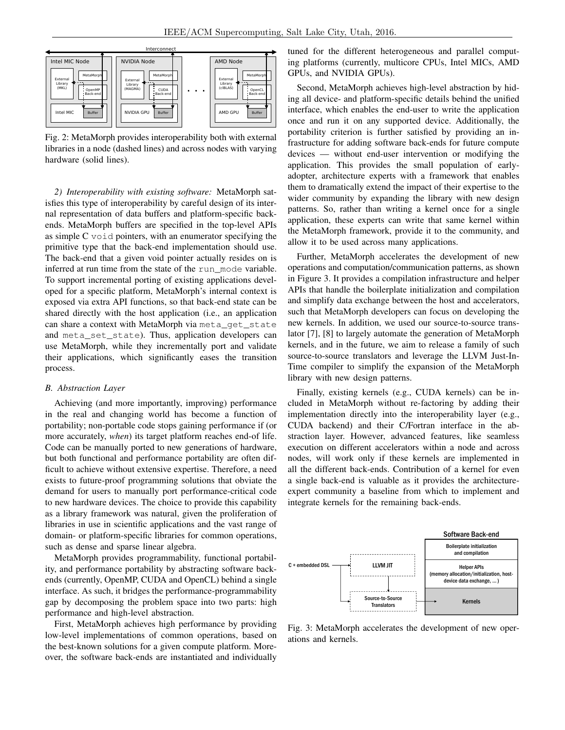

Fig. 2: MetaMorph provides interoperability both with external libraries in a node (dashed lines) and across nodes with varying hardware (solid lines).

*2) Interoperability with existing software:* MetaMorph satisfies this type of interoperability by careful design of its internal representation of data buffers and platform-specific backends. MetaMorph buffers are specified in the top-level APIs as simple  $C$  void pointers, with an enumerator specifying the primitive type that the back-end implementation should use. The back-end that a given void pointer actually resides on is inferred at run time from the state of the run\_mode variable. To support incremental porting of existing applications developed for a specific platform, MetaMorph's internal context is exposed via extra API functions, so that back-end state can be shared directly with the host application (i.e., an application can share a context with MetaMorph via meta\_get\_state and meta\_set\_state). Thus, application developers can use MetaMorph, while they incrementally port and validate their applications, which significantly eases the transition process.

#### *B. Abstraction Layer*

Achieving (and more importantly, improving) performance in the real and changing world has become a function of portability; non-portable code stops gaining performance if (or more accurately, *when*) its target platform reaches end-of life. Code can be manually ported to new generations of hardware, but both functional and performance portability are often difficult to achieve without extensive expertise. Therefore, a need exists to future-proof programming solutions that obviate the demand for users to manually port performance-critical code to new hardware devices. The choice to provide this capability as a library framework was natural, given the proliferation of libraries in use in scientific applications and the vast range of domain- or platform-specific libraries for common operations, such as dense and sparse linear algebra.

MetaMorph provides programmability, functional portability, and performance portability by abstracting software backends (currently, OpenMP, CUDA and OpenCL) behind a single interface. As such, it bridges the performance-programmability gap by decomposing the problem space into two parts: high performance and high-level abstraction.

First, MetaMorph achieves high performance by providing low-level implementations of common operations, based on the best-known solutions for a given compute platform. Moreover, the software back-ends are instantiated and individually tuned for the different heterogeneous and parallel computing platforms (currently, multicore CPUs, Intel MICs, AMD GPUs, and NVIDIA GPUs).

Second, MetaMorph achieves high-level abstraction by hiding all device- and platform-specific details behind the unified interface, which enables the end-user to write the application once and run it on any supported device. Additionally, the portability criterion is further satisfied by providing an infrastructure for adding software back-ends for future compute devices — without end-user intervention or modifying the application. This provides the small population of earlyadopter, architecture experts with a framework that enables them to dramatically extend the impact of their expertise to the wider community by expanding the library with new design patterns. So, rather than writing a kernel once for a single application, these experts can write that same kernel within the MetaMorph framework, provide it to the community, and allow it to be used across many applications.

Further, MetaMorph accelerates the development of new operations and computation/communication patterns, as shown in Figure 3. It provides a compilation infrastructure and helper APIs that handle the boilerplate initialization and compilation and simplify data exchange between the host and accelerators, such that MetaMorph developers can focus on developing the new kernels. In addition, we used our source-to-source translator [7], [8] to largely automate the generation of MetaMorph kernels, and in the future, we aim to release a family of such source-to-source translators and leverage the LLVM Just-In-Time compiler to simplify the expansion of the MetaMorph library with new design patterns.

Finally, existing kernels (e.g., CUDA kernels) can be included in MetaMorph without re-factoring by adding their implementation directly into the interoperability layer (e.g., CUDA backend) and their C/Fortran interface in the abstraction layer. However, advanced features, like seamless execution on different accelerators within a node and across nodes, will work only if these kernels are implemented in all the different back-ends. Contribution of a kernel for even a single back-end is valuable as it provides the architectureexpert community a baseline from which to implement and integrate kernels for the remaining back-ends.



Fig. 3: MetaMorph accelerates the development of new operations and kernels.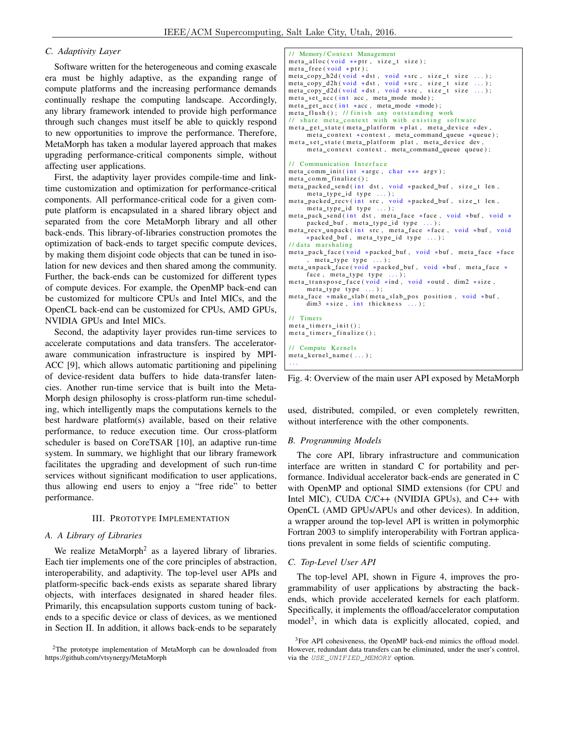## *C. Adaptivity Layer*

Software written for the heterogeneous and coming exascale era must be highly adaptive, as the expanding range of compute platforms and the increasing performance demands continually reshape the computing landscape. Accordingly, any library framework intended to provide high performance through such changes must itself be able to quickly respond to new opportunities to improve the performance. Therefore, MetaMorph has taken a modular layered approach that makes upgrading performance-critical components simple, without affecting user applications.

First, the adaptivity layer provides compile-time and linktime customization and optimization for performance-critical components. All performance-critical code for a given compute platform is encapsulated in a shared library object and separated from the core MetaMorph library and all other back-ends. This library-of-libraries construction promotes the optimization of back-ends to target specific compute devices, by making them disjoint code objects that can be tuned in isolation for new devices and then shared among the community. Further, the back-ends can be customized for different types of compute devices. For example, the OpenMP back-end can be customized for multicore CPUs and Intel MICs, and the OpenCL back-end can be customized for CPUs, AMD GPUs, NVIDIA GPUs and Intel MICs.

Second, the adaptivity layer provides run-time services to accelerate computations and data transfers. The acceleratoraware communication infrastructure is inspired by MPI-ACC [9], which allows automatic partitioning and pipelining of device-resident data buffers to hide data-transfer latencies. Another run-time service that is built into the Meta-Morph design philosophy is cross-platform run-time scheduling, which intelligently maps the computations kernels to the best hardware platform(s) available, based on their relative performance, to reduce execution time. Our cross-platform scheduler is based on CoreTSAR [10], an adaptive run-time system. In summary, we highlight that our library framework facilitates the upgrading and development of such run-time services without significant modification to user applications, thus allowing end users to enjoy a "free ride" to better performance.

## III. PROTOTYPE IMPLEMENTATION

### *A. A Library of Libraries*

We realize MetaMorph<sup>2</sup> as a layered library of libraries. Each tier implements one of the core principles of abstraction, interoperability, and adaptivity. The top-level user APIs and platform-specific back-ends exists as separate shared library objects, with interfaces designated in shared header files. Primarily, this encapsulation supports custom tuning of backends to a specific device or class of devices, as we mentioned in Section II. In addition, it allows back-ends to be separately

```
// Memory/Context Management
meta_alloc(void **ptr, size_t size);
meta free (void * pt):
meta_copy_h2d(void *dst, void *src, size_t size ...);
meta_copy_d2h(void *dst, void *src, size_t size ...);<br>meta_copy_d2d(void *dst, void *src, size_t size ...);
meta\_set\_acc (int acc, meta\_mode mode);meta_get_acc(int *acc, meta_mode *mode);
meta_flush(); // finish any outstanding work
\frac{1}{t} share meta_context with with existing software
meta_get_state (meta_platform *plat, meta_device *dev,
    meta_context *context, meta_command_queue *queue);
meta_set_state (meta_platform plat, meta_device dev,
     meta_context context, meta_command_queue queue);
// Communication Interface
meta_comm_init (int *argc, char *** argv);
meta_comm_finalize();
meta_packed_send(int dst, void *packed_buf, size_t len,
     meta_type_id type ...);
meta_packed_recv(int src, void *packed_buf, size_t len,
     meta\_type\_id type ...);
meta_pack_send (int dst, meta_face *face, void *buf, void *
    packed_buf, meta_type_id type ...);
meta_recv_unpack(int src, meta_face *face, void *buf, void
     *packed_buf, meta_type_id type ...);
// data marshaling
meta_pack_face (void *packed_buf, void *buf, meta_face *face
, meta_type type ...);<br>meta_unpack_face(void *packed_buf, void *buf, meta_face *
     face, meta\_type type \dots;
meta_transpose_face (void *ind, void *outd, dim2 *size,
     meta\_type type...);
meta_face *make_slab(meta_slab_pos position, void *buf,
     dim3 *size, int thickness ...);
// Timers
meta_time rs_init();
meta\_times\_finalize();
// Compute Kernels
meta\_kernel\_name( ... );. . .
```
Fig. 4: Overview of the main user API exposed by MetaMorph

used, distributed, compiled, or even completely rewritten, without interference with the other components.

## *B. Programming Models*

The core API, library infrastructure and communication interface are written in standard C for portability and performance. Individual accelerator back-ends are generated in C with OpenMP and optional SIMD extensions (for CPU and Intel MIC), CUDA C/C++ (NVIDIA GPUs), and C++ with OpenCL (AMD GPUs/APUs and other devices). In addition, a wrapper around the top-level API is written in polymorphic Fortran 2003 to simplify interoperability with Fortran applications prevalent in some fields of scientific computing.

## *C. Top-Level User API*

The top-level API, shown in Figure 4, improves the programmability of user applications by abstracting the backends, which provide accelerated kernels for each platform. Specifically, it implements the offload/accelerator computation model<sup>3</sup>, in which data is explicitly allocated, copied, and

<sup>2</sup>The prototype implementation of MetaMorph can be downloaded from https://github.com/vtsynergy/MetaMorph

<sup>&</sup>lt;sup>3</sup>For API cohesiveness, the OpenMP back-end mimics the offload model. However, redundant data transfers can be eliminated, under the user's control, via the USE\_UNIFIED\_MEMORY option.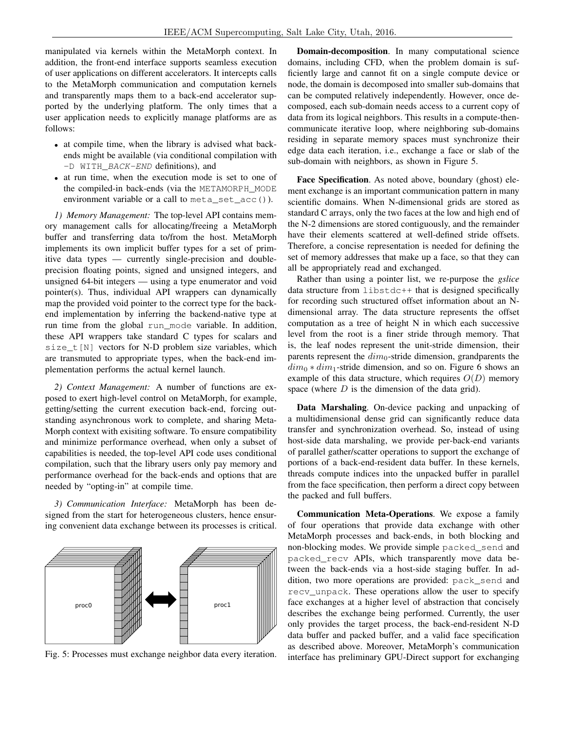manipulated via kernels within the MetaMorph context. In addition, the front-end interface supports seamless execution of user applications on different accelerators. It intercepts calls to the MetaMorph communication and computation kernels and transparently maps them to a back-end accelerator supported by the underlying platform. The only times that a user application needs to explicitly manage platforms are as follows:

- at compile time, when the library is advised what backends might be available (via conditional compilation with -D WITH\_BACK-END definitions), and
- at run time, when the execution mode is set to one of the compiled-in back-ends (via the METAMORPH\_MODE environment variable or a call to meta\_set\_acc()).

*1) Memory Management:* The top-level API contains memory management calls for allocating/freeing a MetaMorph buffer and transferring data to/from the host. MetaMorph implements its own implicit buffer types for a set of primitive data types — currently single-precision and doubleprecision floating points, signed and unsigned integers, and unsigned 64-bit integers — using a type enumerator and void pointer(s). Thus, individual API wrappers can dynamically map the provided void pointer to the correct type for the backend implementation by inferring the backend-native type at run time from the global run mode variable. In addition, these API wrappers take standard C types for scalars and size  $t[N]$  vectors for N-D problem size variables, which are transmuted to appropriate types, when the back-end implementation performs the actual kernel launch.

*2) Context Management:* A number of functions are exposed to exert high-level control on MetaMorph, for example, getting/setting the current execution back-end, forcing outstanding asynchronous work to complete, and sharing Meta-Morph context with exisiting software. To ensure compatibility and minimize performance overhead, when only a subset of capabilities is needed, the top-level API code uses conditional compilation, such that the library users only pay memory and performance overhead for the back-ends and options that are needed by "opting-in" at compile time.

*3) Communication Interface:* MetaMorph has been designed from the start for heterogeneous clusters, hence ensuring convenient data exchange between its processes is critical.



Fig. 5: Processes must exchange neighbor data every iteration.

Domain-decomposition. In many computational science domains, including CFD, when the problem domain is sufficiently large and cannot fit on a single compute device or node, the domain is decomposed into smaller sub-domains that can be computed relatively independently. However, once decomposed, each sub-domain needs access to a current copy of data from its logical neighbors. This results in a compute-thencommunicate iterative loop, where neighboring sub-domains residing in separate memory spaces must synchronize their edge data each iteration, i.e., exchange a face or slab of the sub-domain with neighbors, as shown in Figure 5.

Face Specification. As noted above, boundary (ghost) element exchange is an important communication pattern in many scientific domains. When N-dimensional grids are stored as standard C arrays, only the two faces at the low and high end of the N-2 dimensions are stored contiguously, and the remainder have their elements scattered at well-defined stride offsets. Therefore, a concise representation is needed for defining the set of memory addresses that make up a face, so that they can all be appropriately read and exchanged.

Rather than using a pointer list, we re-purpose the *gslice* data structure from libstdc++ that is designed specifically for recording such structured offset information about an Ndimensional array. The data structure represents the offset computation as a tree of height N in which each successive level from the root is a finer stride through memory. That is, the leaf nodes represent the unit-stride dimension, their parents represent the  $dim_0$ -stride dimension, grandparents the  $dim_0 * dim_1$ -stride dimension, and so on. Figure 6 shows an example of this data structure, which requires  $O(D)$  memory space (where  $D$  is the dimension of the data grid).

Data Marshaling. On-device packing and unpacking of a multidimensional dense grid can significantly reduce data transfer and synchronization overhead. So, instead of using host-side data marshaling, we provide per-back-end variants of parallel gather/scatter operations to support the exchange of portions of a back-end-resident data buffer. In these kernels, threads compute indices into the unpacked buffer in parallel from the face specification, then perform a direct copy between the packed and full buffers.

Communication Meta-Operations. We expose a family of four operations that provide data exchange with other MetaMorph processes and back-ends, in both blocking and non-blocking modes. We provide simple packed\_send and packed\_recv APIs, which transparently move data between the back-ends via a host-side staging buffer. In addition, two more operations are provided: pack\_send and recv\_unpack. These operations allow the user to specify face exchanges at a higher level of abstraction that concisely describes the exchange being performed. Currently, the user only provides the target process, the back-end-resident N-D data buffer and packed buffer, and a valid face specification as described above. Moreover, MetaMorph's communication interface has preliminary GPU-Direct support for exchanging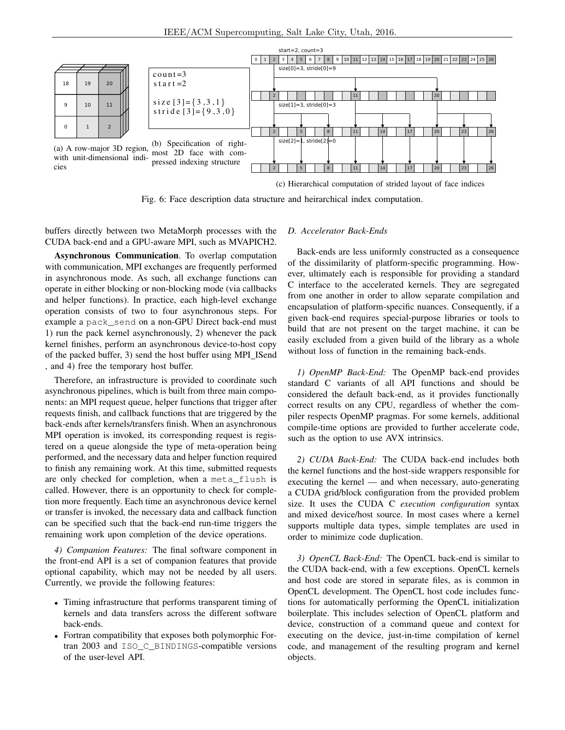

(c) Hierarchical computation of strided layout of face indices

Fig. 6: Face description data structure and heirarchical index computation.

buffers directly between two MetaMorph processes with the CUDA back-end and a GPU-aware MPI, such as MVAPICH2.

Asynchronous Communication. To overlap computation with communication, MPI exchanges are frequently performed in asynchronous mode. As such, all exchange functions can operate in either blocking or non-blocking mode (via callbacks and helper functions). In practice, each high-level exchange operation consists of two to four asynchronous steps. For example a pack\_send on a non-GPU Direct back-end must 1) run the pack kernel asynchronously, 2) whenever the pack kernel finishes, perform an asynchronous device-to-host copy of the packed buffer, 3) send the host buffer using MPI\_ISend , and 4) free the temporary host buffer.

Therefore, an infrastructure is provided to coordinate such asynchronous pipelines, which is built from three main components: an MPI request queue, helper functions that trigger after requests finish, and callback functions that are triggered by the back-ends after kernels/transfers finish. When an asynchronous MPI operation is invoked, its corresponding request is registered on a queue alongside the type of meta-operation being performed, and the necessary data and helper function required to finish any remaining work. At this time, submitted requests are only checked for completion, when a meta\_flush is called. However, there is an opportunity to check for completion more frequently. Each time an asynchronous device kernel or transfer is invoked, the necessary data and callback function can be specified such that the back-end run-time triggers the remaining work upon completion of the device operations.

*4) Companion Features:* The final software component in the front-end API is a set of companion features that provide optional capability, which may not be needed by all users. Currently, we provide the following features:

- Timing infrastructure that performs transparent timing of kernels and data transfers across the different software back-ends.
- Fortran compatibility that exposes both polymorphic Fortran 2003 and ISO\_C\_BINDINGS-compatible versions of the user-level API.

#### *D. Accelerator Back-Ends*

Back-ends are less uniformly constructed as a consequence of the dissimilarity of platform-specific programming. However, ultimately each is responsible for providing a standard C interface to the accelerated kernels. They are segregated from one another in order to allow separate compilation and encapsulation of platform-specific nuances. Consequently, if a given back-end requires special-purpose libraries or tools to build that are not present on the target machine, it can be easily excluded from a given build of the library as a whole without loss of function in the remaining back-ends.

*1) OpenMP Back-End:* The OpenMP back-end provides standard C variants of all API functions and should be considered the default back-end, as it provides functionally correct results on any CPU, regardless of whether the compiler respects OpenMP pragmas. For some kernels, additional compile-time options are provided to further accelerate code, such as the option to use AVX intrinsics.

*2) CUDA Back-End:* The CUDA back-end includes both the kernel functions and the host-side wrappers responsible for executing the kernel — and when necessary, auto-generating a CUDA grid/block configuration from the provided problem size. It uses the CUDA C *execution configuration* syntax and mixed device/host source. In most cases where a kernel supports multiple data types, simple templates are used in order to minimize code duplication.

*3) OpenCL Back-End:* The OpenCL back-end is similar to the CUDA back-end, with a few exceptions. OpenCL kernels and host code are stored in separate files, as is common in OpenCL development. The OpenCL host code includes functions for automatically performing the OpenCL initialization boilerplate. This includes selection of OpenCL platform and device, construction of a command queue and context for executing on the device, just-in-time compilation of kernel code, and management of the resulting program and kernel objects.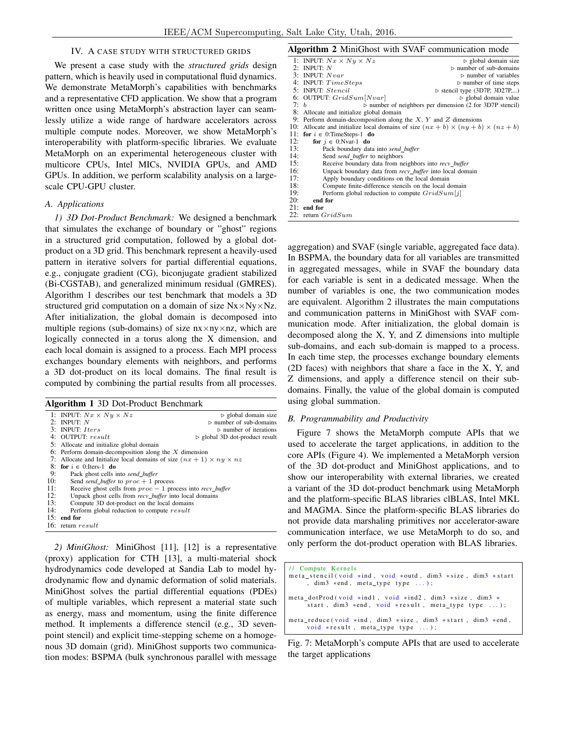## IV. A CASE STUDY WITH STRUCTURED GRIDS

We present a case study with the *structured grids* design pattern, which is heavily used in computational fluid dynamics. We demonstrate MetaMorph's capabilities with benchmarks and a representative CFD application. We show that a program written once using MetaMorph's abstraction layer can seamlessly utilize a wide range of hardware accelerators across multiple compute nodes. Moreover, we show MetaMorph's interoperability with platform-specific libraries. We evaluate MetaMorph on an experimental heterogeneous cluster with multicore CPUs, Intel MICs, NVIDIA GPUs, and AMD GPUs. In addition, we perform scalability analysis on a largescale CPU-GPU cluster.

### *A. Applications*

*1) 3D Dot-Product Benchmark:* We designed a benchmark that simulates the exchange of boundary or "ghost" regions in a structured grid computation, followed by a global dotproduct on a 3D grid. This benchmark represent a heavily-used pattern in iterative solvers for partial differential equations, e.g., conjugate gradient (CG), biconjugate gradient stabilized (Bi-CGSTAB), and generalized minimum residual (GMRES). Algorithm 1 describes our test benchmark that models a 3D structured grid computation on a domain of size  $Nx \times Ny \times Nz$ . After initialization, the global domain is decomposed into multiple regions (sub-domains) of size  $nx \times ny \times nz$ , which are logically connected in a torus along the X dimension, and each local domain is assigned to a process. Each MPI process exchanges boundary elements with neighbors, and performs a 3D dot-product on its local domains. The final result is computed by combining the partial results from all processes.

#### Algorithm 1 3D Dot-Product Benchmark

|     | 1: INPUT: $Nx \times Ny \times Nz$                                              | $\triangleright$ global domain size           |
|-----|---------------------------------------------------------------------------------|-----------------------------------------------|
|     | 2: INPUT: $N$                                                                   | $\triangleright$ number of sub-domains        |
|     | $3:$ INPUT: Iters                                                               | $\triangleright$ number of iterations         |
|     | 4: OUTPUT: $result$                                                             | $\triangleright$ global 3D dot-product result |
|     | 5: Allocate and initialize global domain                                        |                                               |
|     | 6: Perform domain-decomposition along the $X$ dimension                         |                                               |
|     | 7: Allocate and Initialize local domains of size $(nx + 1) \times ny \times nz$ |                                               |
|     | 8: for $i \in 0$ : Iters-1 do                                                   |                                               |
| 9:  | Pack ghost cells into send buffer                                               |                                               |
| 10: | Send <i>send</i> buffer to $proc + 1$ process                                   |                                               |
| 11: | Receive ghost cells from $proc - 1$ process into recv_buffer                    |                                               |
| 12: | Unpack ghost cells from <i>recv</i> buffer into local domains                   |                                               |
| 13: | Compute 3D dot-product on the local domains                                     |                                               |
| 14: | Perform global reduction to compute result                                      |                                               |
|     | 15: end for                                                                     |                                               |
|     | 16: return $result$                                                             |                                               |

*2) MiniGhost:* MiniGhost [11], [12] is a representative (proxy) application for CTH [13], a multi-material shock hydrodynamics code developed at Sandia Lab to model hydrodynamic flow and dynamic deformation of solid materials. MiniGhost solves the partial differential equations (PDEs) of multiple variables, which represent a material state such as energy, mass and momentum, using the finite difference method. It implements a difference stencil (e.g., 3D sevenpoint stencil) and explicit time-stepping scheme on a homogenous 3D domain (grid). MiniGhost supports two communication modes: BSPMA (bulk synchronous parallel with message

#### Algorithm 2 MiniGhost with SVAF communication mode

|     | 1: INPUT: $Nx \times Ny \times Nz$                                                       | $\triangleright$ global domain size                                     |
|-----|------------------------------------------------------------------------------------------|-------------------------------------------------------------------------|
|     | 2: INPUT: $N$                                                                            | $\triangleright$ number of sub-domains                                  |
|     | 3: INPUT: $Nvar$                                                                         | $\triangleright$ number of variables                                    |
|     | 4: INPUT: $TimeSteps$                                                                    | $\triangleright$ number of time steps                                   |
|     | 5: INPUT: Stencil                                                                        | $\triangleright$ stencil type (3D7P, 3D27P,)                            |
|     | 6: OUTPUT: $GridSum[Nvar]$                                                               | $\triangleright$ global domain value                                    |
|     | 7: h                                                                                     | $\triangleright$ number of neighbors per dimension (2 for 3D7P stencil) |
|     | 8: Allocate and initialize global domain                                                 |                                                                         |
| 9:  | Perform domain-decomposition along the $X, Y$ and $Z$ dimensions                         |                                                                         |
| 10: | Allocate and initialize local domains of size $(nx + b) \times (ny + b) \times (nz + b)$ |                                                                         |
|     | 11: for $i \in 0$ : TimeSteps-1 do                                                       |                                                                         |
| 12: | for $j \in 0$ :Nvar-1 do                                                                 |                                                                         |
| 13: | Pack boundary data into send_buffer                                                      |                                                                         |
| 14: | Send send_buffer to neighbors                                                            |                                                                         |
| 15: | Receive boundary data from neighbors into recv_buffer                                    |                                                                         |
| 16: | Unpack boundary data from <i>recv_buffer</i> into local domain                           |                                                                         |
| 17: | Apply boundary conditions on the local domain                                            |                                                                         |
| 18: | Compute finite-difference stencils on the local domain                                   |                                                                         |
| 19: | Perform global reduction to compute $GridSum[j]$                                         |                                                                         |
| 20: | end for                                                                                  |                                                                         |
| 21: | end for                                                                                  |                                                                         |
| 22: | return $GridSum$                                                                         |                                                                         |

aggregation) and SVAF (single variable, aggregated face data). In BSPMA, the boundary data for all variables are transmitted in aggregated messages, while in SVAF the boundary data for each variable is sent in a dedicated message. When the number of variables is one, the two communication modes are equivalent. Algorithm 2 illustrates the main computations and communication patterns in MiniGhost with SVAF communication mode. After initialization, the global domain is decomposed along the X, Y, and Z dimensions into multiple sub-domains, and each sub-domain is mapped to a process. In each time step, the processes exchange boundary elements (2D faces) with neighbors that share a face in the X, Y, and Z dimensions, and apply a difference stencil on their subdomains. Finally, the value of the global domain is computed using global summation.

## *B. Programmability and Productivity*

Figure 7 shows the MetaMorph compute APIs that we used to accelerate the target applications, in addition to the core APIs (Figure 4). We implemented a MetaMorph version of the 3D dot-product and MiniGhost applications, and to show our interoperability with external libraries, we created a variant of the 3D dot-product benchmark using MetaMorph and the platform-specific BLAS libraries clBLAS, Intel MKL and MAGMA. Since the platform-specific BLAS libraries do not provide data marshaling primitives nor accelerator-aware communication interface, we use MetaMorph to do so, and only perform the dot-product operation with BLAS libraries.

| // Compute Kernels<br>meta stencil (void *ind, void *outd, dim3 *size, dim3 *start<br>, dim3 $*end$ , meta type type ); |
|-------------------------------------------------------------------------------------------------------------------------|
| meta_dotProd(void *ind1, void *ind2, dim3 *size, dim3 *<br>start, $\dim 3$ *end, void *result, meta type type );        |
| meta_reduce(void $*ind$ , dim3 $*size$ , dim3 $*start$ , dim3 $*end$ ,<br>void $*result$ , meta_type type );            |

Fig. 7: MetaMorph's compute APIs that are used to accelerate the target applications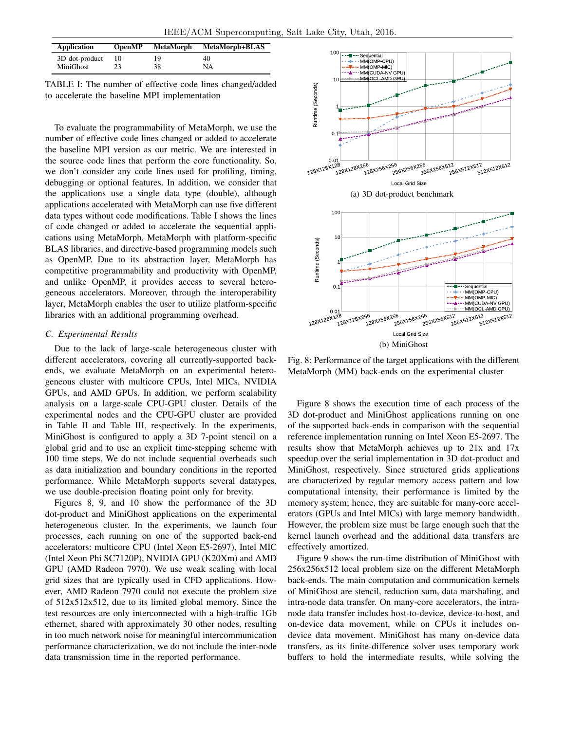| <b>Application</b> | <b>OpenMP</b> | <b>MetaMorph</b> | <b>MetaMorph+BLAS</b> |
|--------------------|---------------|------------------|-----------------------|
| 3D dot-product     |               | 19               | 40                    |
| MiniGhost          | 23            | 38               | NA                    |

TABLE I: The number of effective code lines changed/added to accelerate the baseline MPI implementation

To evaluate the programmability of MetaMorph, we use the number of effective code lines changed or added to accelerate the baseline MPI version as our metric. We are interested in the source code lines that perform the core functionality. So, we don't consider any code lines used for profiling, timing, debugging or optional features. In addition, we consider that the applications use a single data type (double), although applications accelerated with MetaMorph can use five different data types without code modifications. Table I shows the lines of code changed or added to accelerate the sequential applications using MetaMorph, MetaMorph with platform-specific BLAS libraries, and directive-based programming models such as OpenMP. Due to its abstraction layer, MetaMorph has competitive programmability and productivity with OpenMP, and unlike OpenMP, it provides access to several heterogeneous accelerators. Moreover, through the interoperability layer, MetaMorph enables the user to utilize platform-specific libraries with an additional programming overhead.

## *C. Experimental Results*

Due to the lack of large-scale heterogeneous cluster with different accelerators, covering all currently-supported backends, we evaluate MetaMorph on an experimental heterogeneous cluster with multicore CPUs, Intel MICs, NVIDIA GPUs, and AMD GPUs. In addition, we perform scalability analysis on a large-scale CPU-GPU cluster. Details of the experimental nodes and the CPU-GPU cluster are provided in Table II and Table III, respectively. In the experiments, MiniGhost is configured to apply a 3D 7-point stencil on a global grid and to use an explicit time-stepping scheme with 100 time steps. We do not include sequential overheads such as data initialization and boundary conditions in the reported performance. While MetaMorph supports several datatypes, we use double-precision floating point only for brevity.

Figures 8, 9, and 10 show the performance of the 3D dot-product and MiniGhost applications on the experimental heterogeneous cluster. In the experiments, we launch four processes, each running on one of the supported back-end accelerators: multicore CPU (Intel Xeon E5-2697), Intel MIC (Intel Xeon Phi SC7120P), NVIDIA GPU (K20Xm) and AMD GPU (AMD Radeon 7970). We use weak scaling with local grid sizes that are typically used in CFD applications. However, AMD Radeon 7970 could not execute the problem size of 512x512x512, due to its limited global memory. Since the test resources are only interconnected with a high-traffic 1Gb ethernet, shared with approximately 30 other nodes, resulting in too much network noise for meaningful intercommunication performance characterization, we do not include the inter-node data transmission time in the reported performance.



Fig. 8: Performance of the target applications with the different MetaMorph (MM) back-ends on the experimental cluster

Figure 8 shows the execution time of each process of the 3D dot-product and MiniGhost applications running on one of the supported back-ends in comparison with the sequential reference implementation running on Intel Xeon E5-2697. The results show that MetaMorph achieves up to 21x and 17x speedup over the serial implementation in 3D dot-product and MiniGhost, respectively. Since structured grids applications are characterized by regular memory access pattern and low computational intensity, their performance is limited by the memory system; hence, they are suitable for many-core accelerators (GPUs and Intel MICs) with large memory bandwidth. However, the problem size must be large enough such that the kernel launch overhead and the additional data transfers are effectively amortized.

Figure 9 shows the run-time distribution of MiniGhost with 256x256x512 local problem size on the different MetaMorph back-ends. The main computation and communication kernels of MiniGhost are stencil, reduction sum, data marshaling, and intra-node data transfer. On many-core accelerators, the intranode data transfer includes host-to-device, device-to-host, and on-device data movement, while on CPUs it includes ondevice data movement. MiniGhost has many on-device data transfers, as its finite-difference solver uses temporary work buffers to hold the intermediate results, while solving the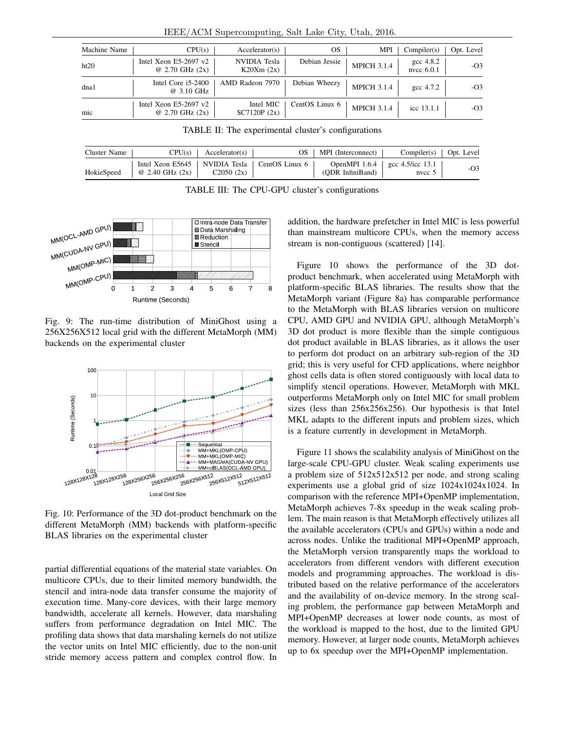| Machine Name | CPU(s)                                                | Acceleration(s)           | OS             | <b>MPI</b>         | Complier(s)                  | Opt. Level |
|--------------|-------------------------------------------------------|---------------------------|----------------|--------------------|------------------------------|------------|
| ht20         | Intel Xeon $E5-2697$ v2<br>$@ 2.70 \text{ GHz } (2x)$ | NVIDIA Tesla<br>K20Xm(2x) | Debian Jessie  | <b>MPICH 3.1.4</b> | $\csc 4.8.2$<br>nvcc $6.0.1$ | $-O3$      |
| dna1         | Intel Core i5-2400<br>@ 3.10 GHz                      | AMD Radeon 7970           | Debian Wheezy  | <b>MPICH 3.1.4</b> | gcc 4.7.2                    | $-O3$      |
| mic          | Intel Xeon $E5-2697$ v2<br>$@ 2.70 \text{ GHz } (2x)$ | Intel MIC<br>SC7120P (2x) | CentOS Linux 6 | <b>MPICH 3.1.4</b> | icc 13.1.1                   | $-O3$      |

IEEE/ACM Supercomputing, Salt Lake City, Utah, 2016.

TABLE II: The experimental cluster's configurations

| Cluster Name | CPU(s)                                                                       | Acceleration(s) | OS. | MPI (Interconnect) | Complier(s)                                      | Opt. Level |
|--------------|------------------------------------------------------------------------------|-----------------|-----|--------------------|--------------------------------------------------|------------|
| HokieSpeed   | Intel Xeon E5645   NVIDIA Tesla   CentOS Linux 6<br>$\omega$ 2.40 GHz $(2x)$ | C2050(2x)       |     | (ODR InfiniBand)   | OpenMPI 1.6.4   gcc 4.5/icc 13.1<br>$n$ nvcc $5$ | -03        |

TABLE III: The CPU-GPU cluster's configurations



Fig. 9: The run-time distribution of MiniGhost using a 256X256X512 local grid with the different MetaMorph (MM) backends on the experimental cluster



Fig. 10: Performance of the 3D dot-product benchmark on the different MetaMorph (MM) backends with platform-specific BLAS libraries on the experimental cluster

partial differential equations of the material state variables. On multicore CPUs, due to their limited memory bandwidth, the stencil and intra-node data transfer consume the majority of execution time. Many-core devices, with their large memory bandwidth, accelerate all kernels. However, data marshaling suffers from performance degradation on Intel MIC. The profiling data shows that data marshaling kernels do not utilize the vector units on Intel MIC efficiently, due to the non-unit stride memory access pattern and complex control flow. In

addition, the hardware prefetcher in Intel MIC is less powerful than mainstream multicore CPUs, when the memory access stream is non-contiguous (scattered) [14].

Figure 10 shows the performance of the 3D dotproduct benchmark, when accelerated using MetaMorph with platform-specific BLAS libraries. The results show that the MetaMorph variant (Figure 8a) has comparable performance to the MetaMorph with BLAS libraries version on multicore CPU, AMD GPU and NVIDIA GPU, although MetaMorph's 3D dot product is more flexible than the simple contiguous dot product available in BLAS libraries, as it allows the user to perform dot product on an arbitrary sub-region of the 3D grid; this is very useful for CFD applications, where neighbor ghost cells data is often stored contiguously with local data to simplify stencil operations. However, MetaMorph with MKL outperforms MetaMorph only on Intel MIC for small problem sizes (less than 256x256x256). Our hypothesis is that Intel MKL adapts to the different inputs and problem sizes, which is a feature currently in development in MetaMorph.

Figure 11 shows the scalability analysis of MiniGhost on the large-scale CPU-GPU cluster. Weak scaling experiments use a problem size of 512x512x512 per node, and strong scaling experiments use a global grid of size 1024x1024x1024. In comparison with the reference MPI+OpenMP implementation, MetaMorph achieves 7-8x speedup in the weak scaling problem. The main reason is that MetaMorph effectively utilizes all the available accelerators (CPUs and GPUs) within a node and across nodes. Unlike the traditional MPI+OpenMP approach, the MetaMorph version transparently maps the workload to accelerators from different vendors with different execution models and programming approaches. The workload is distributed based on the relative performance of the accelerators and the availability of on-device memory. In the strong scaling problem, the performance gap between MetaMorph and MPI+OpenMP decreases at lower node counts, as most of the workload is mapped to the host, due to the limited GPU memory. However, at larger node counts, MetaMorph achieves up to 6x speedup over the MPI+OpenMP implementation.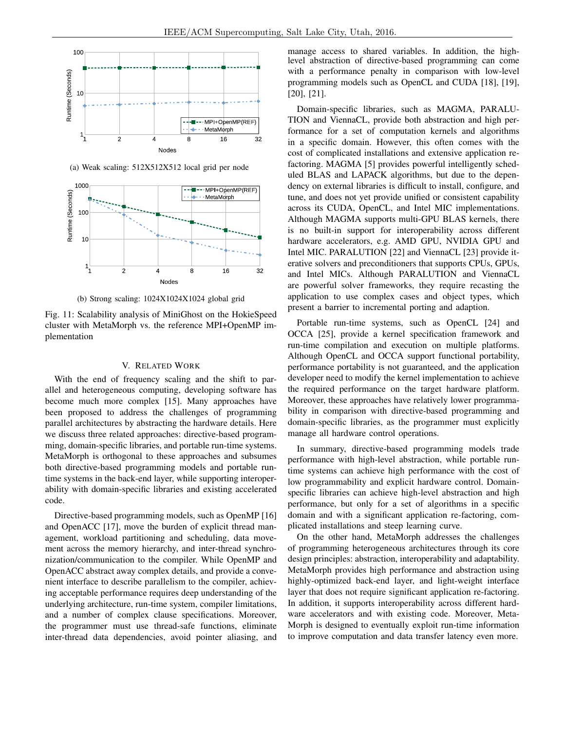

(a) Weak scaling: 512X512X512 local grid per node



(b) Strong scaling: 1024X1024X1024 global grid

Fig. 11: Scalability analysis of MiniGhost on the HokieSpeed cluster with MetaMorph vs. the reference MPI+OpenMP implementation

## V. RELATED WORK

With the end of frequency scaling and the shift to parallel and heterogeneous computing, developing software has become much more complex [15]. Many approaches have been proposed to address the challenges of programming parallel architectures by abstracting the hardware details. Here we discuss three related approaches: directive-based programming, domain-specific libraries, and portable run-time systems. MetaMorph is orthogonal to these approaches and subsumes both directive-based programming models and portable runtime systems in the back-end layer, while supporting interoperability with domain-specific libraries and existing accelerated code.

Directive-based programming models, such as OpenMP [16] and OpenACC [17], move the burden of explicit thread management, workload partitioning and scheduling, data movement across the memory hierarchy, and inter-thread synchronization/communication to the compiler. While OpenMP and OpenACC abstract away complex details, and provide a convenient interface to describe parallelism to the compiler, achieving acceptable performance requires deep understanding of the underlying architecture, run-time system, compiler limitations, and a number of complex clause specifications. Moreover, the programmer must use thread-safe functions, eliminate inter-thread data dependencies, avoid pointer aliasing, and manage access to shared variables. In addition, the highlevel abstraction of directive-based programming can come with a performance penalty in comparison with low-level programming models such as OpenCL and CUDA [18], [19], [20], [21].

Domain-specific libraries, such as MAGMA, PARALU-TION and ViennaCL, provide both abstraction and high performance for a set of computation kernels and algorithms in a specific domain. However, this often comes with the cost of complicated installations and extensive application refactoring. MAGMA [5] provides powerful intelligently scheduled BLAS and LAPACK algorithms, but due to the dependency on external libraries is difficult to install, configure, and tune, and does not yet provide unified or consistent capability across its CUDA, OpenCL, and Intel MIC implementations. Although MAGMA supports multi-GPU BLAS kernels, there is no built-in support for interoperability across different hardware accelerators, e.g. AMD GPU, NVIDIA GPU and Intel MIC. PARALUTION [22] and ViennaCL [23] provide iterative solvers and preconditioners that supports CPUs, GPUs, and Intel MICs. Although PARALUTION and ViennaCL are powerful solver frameworks, they require recasting the application to use complex cases and object types, which present a barrier to incremental porting and adaption.

Portable run-time systems, such as OpenCL [24] and OCCA [25], provide a kernel specification framework and run-time compilation and execution on multiple platforms. Although OpenCL and OCCA support functional portability, performance portability is not guaranteed, and the application developer need to modify the kernel implementation to achieve the required performance on the target hardware platform. Moreover, these approaches have relatively lower programmability in comparison with directive-based programming and domain-specific libraries, as the programmer must explicitly manage all hardware control operations.

In summary, directive-based programming models trade performance with high-level abstraction, while portable runtime systems can achieve high performance with the cost of low programmability and explicit hardware control. Domainspecific libraries can achieve high-level abstraction and high performance, but only for a set of algorithms in a specific domain and with a significant application re-factoring, complicated installations and steep learning curve.

On the other hand, MetaMorph addresses the challenges of programming heterogeneous architectures through its core design principles: abstraction, interoperability and adaptability. MetaMorph provides high performance and abstraction using highly-optimized back-end layer, and light-weight interface layer that does not require significant application re-factoring. In addition, it supports interoperability across different hardware accelerators and with existing code. Moreover, Meta-Morph is designed to eventually exploit run-time information to improve computation and data transfer latency even more.